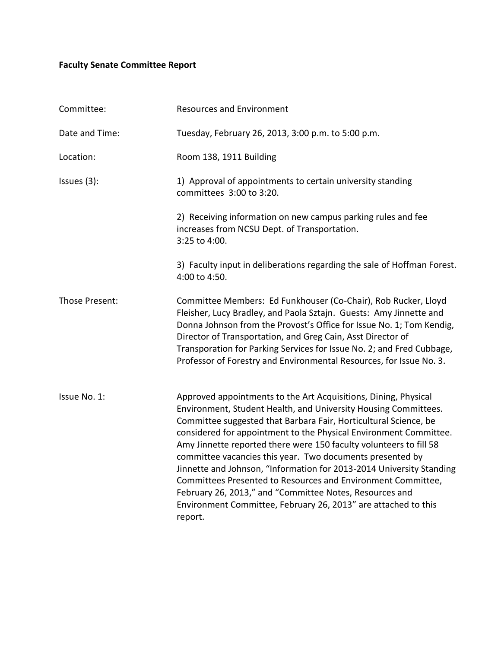## **Faculty Senate Committee Report**

| Committee:     | <b>Resources and Environment</b>                                                                                                                                                                                                                                                                                                                                                                                                                                                                                                                                                                                                                                                               |
|----------------|------------------------------------------------------------------------------------------------------------------------------------------------------------------------------------------------------------------------------------------------------------------------------------------------------------------------------------------------------------------------------------------------------------------------------------------------------------------------------------------------------------------------------------------------------------------------------------------------------------------------------------------------------------------------------------------------|
| Date and Time: | Tuesday, February 26, 2013, 3:00 p.m. to 5:00 p.m.                                                                                                                                                                                                                                                                                                                                                                                                                                                                                                                                                                                                                                             |
| Location:      | Room 138, 1911 Building                                                                                                                                                                                                                                                                                                                                                                                                                                                                                                                                                                                                                                                                        |
| Issues $(3)$ : | 1) Approval of appointments to certain university standing<br>committees 3:00 to 3:20.                                                                                                                                                                                                                                                                                                                                                                                                                                                                                                                                                                                                         |
|                | 2) Receiving information on new campus parking rules and fee<br>increases from NCSU Dept. of Transportation.<br>3:25 to 4:00.                                                                                                                                                                                                                                                                                                                                                                                                                                                                                                                                                                  |
|                | 3) Faculty input in deliberations regarding the sale of Hoffman Forest.<br>4:00 to 4:50.                                                                                                                                                                                                                                                                                                                                                                                                                                                                                                                                                                                                       |
| Those Present: | Committee Members: Ed Funkhouser (Co-Chair), Rob Rucker, Lloyd<br>Fleisher, Lucy Bradley, and Paola Sztajn. Guests: Amy Jinnette and<br>Donna Johnson from the Provost's Office for Issue No. 1; Tom Kendig,<br>Director of Transportation, and Greg Cain, Asst Director of<br>Transporation for Parking Services for Issue No. 2; and Fred Cubbage,<br>Professor of Forestry and Environmental Resources, for Issue No. 3.                                                                                                                                                                                                                                                                    |
| Issue No. 1:   | Approved appointments to the Art Acquisitions, Dining, Physical<br>Environment, Student Health, and University Housing Committees.<br>Committee suggested that Barbara Fair, Horticultural Science, be<br>considered for appointment to the Physical Environment Committee.<br>Amy Jinnette reported there were 150 faculty volunteers to fill 58<br>committee vacancies this year. Two documents presented by<br>Jinnette and Johnson, "Information for 2013-2014 University Standing<br>Committees Presented to Resources and Environment Committee,<br>February 26, 2013," and "Committee Notes, Resources and<br>Environment Committee, February 26, 2013" are attached to this<br>report. |